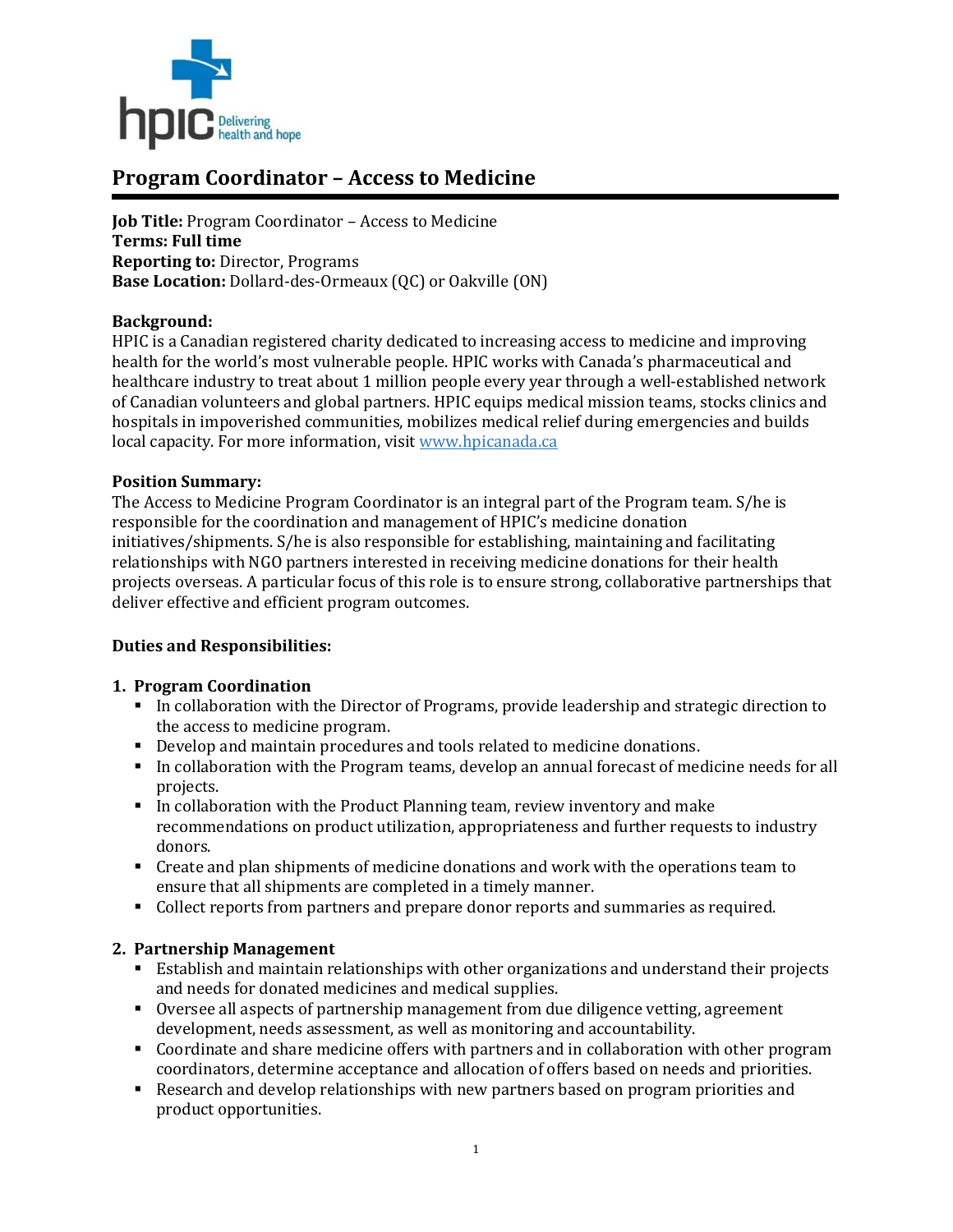

# **Program Coordinator – Access to Medicine**

**Job Title:** Program Coordinator – Access to Medicine **Terms: Full time Reporting to:** Director, Programs **Base Location:** Dollard-des-Ormeaux (QC) or Oakville (ON)

#### **Background:**

HPIC is a Canadian registered charity dedicated to increasing access to medicine and improving health for the world's most vulnerable people. HPIC works with Canada's pharmaceutical and healthcare industry to treat about 1 million people every year through a well-established network of Canadian volunteers and global partners. HPIC equips medical mission teams, stocks clinics and hospitals in impoverished communities, mobilizes medical relief during emergencies and builds local capacity. For more information, visi[t www.hpicanada.ca](http://www.hpicanada.ca/)

#### **Position Summary:**

The Access to Medicine Program Coordinator is an integral part of the Program team. S/he is responsible for the coordination and management of HPIC's medicine donation initiatives/shipments. S/he is also responsible for establishing, maintaining and facilitating relationships with NGO partners interested in receiving medicine donations for their health projects overseas. A particular focus of this role is to ensure strong, collaborative partnerships that deliver effective and efficient program outcomes.

# **Duties and Responsibilities:**

#### **1. Program Coordination**

- In collaboration with the Director of Programs, provide leadership and strategic direction to the access to medicine program.
- Develop and maintain procedures and tools related to medicine donations.
- In collaboration with the Program teams, develop an annual forecast of medicine needs for all projects.
- In collaboration with the Product Planning team, review inventory and make recommendations on product utilization, appropriateness and further requests to industry donors.
- Create and plan shipments of medicine donations and work with the operations team to ensure that all shipments are completed in a timely manner.
- Collect reports from partners and prepare donor reports and summaries as required.

# **2. Partnership Management**

- Establish and maintain relationships with other organizations and understand their projects and needs for donated medicines and medical supplies.
- Oversee all aspects of partnership management from due diligence vetting, agreement development, needs assessment, as well as monitoring and accountability.
- Coordinate and share medicine offers with partners and in collaboration with other program coordinators, determine acceptance and allocation of offers based on needs and priorities.
- Research and develop relationships with new partners based on program priorities and product opportunities.